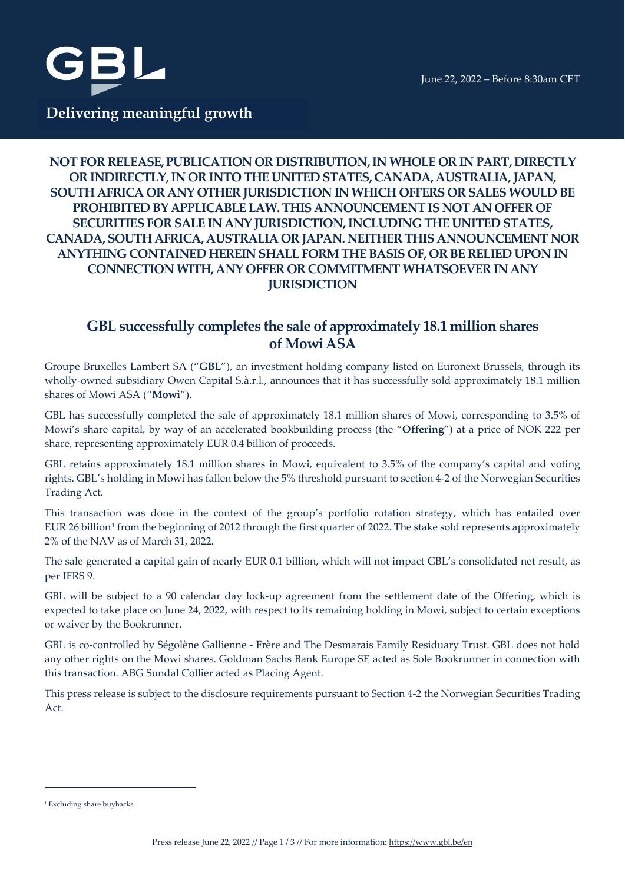



### **NOT FOR RELEASE, PUBLICATION OR DISTRIBUTION, IN WHOLE OR IN PART, DIRECTLY OR INDIRECTLY, IN OR INTO THE UNITED STATES, CANADA, AUSTRALIA, JAPAN, SOUTH AFRICA OR ANY OTHER JURISDICTION IN WHICH OFFERS OR SALES WOULD BE PROHIBITED BY APPLICABLE LAW. THIS ANNOUNCEMENT IS NOT AN OFFER OF SECURITIES FOR SALE IN ANY JURISDICTION, INCLUDING THE UNITED STATES, CANADA, SOUTH AFRICA, AUSTRALIA OR JAPAN. NEITHER THIS ANNOUNCEMENT NOR ANYTHING CONTAINED HEREIN SHALL FORM THE BASIS OF, OR BE RELIED UPON IN CONNECTION WITH, ANY OFFER OR COMMITMENT WHATSOEVER IN ANY JURISDICTION**

## **GBL successfully completes the sale of approximately 18.1 million shares of Mowi ASA**

Groupe Bruxelles Lambert SA ("**GBL**"), an investment holding company listed on Euronext Brussels, through its wholly-owned subsidiary Owen Capital S.à.r.l., announces that it has successfully sold approximately 18.1 million shares of Mowi ASA ("**Mowi**").

GBL has successfully completed the sale of approximately 18.1 million shares of Mowi, corresponding to 3.5% of Mowi's share capital, by way of an accelerated bookbuilding process (the "**Offering**") at a price of NOK 222 per share, representing approximately EUR 0.4 billion of proceeds.

GBL retains approximately 18.1 million shares in Mowi, equivalent to 3.5% of the company's capital and voting rights. GBL's holding in Mowi has fallen below the 5% threshold pursuant to section 4-2 of the Norwegian Securities Trading Act.

This transaction was done in the context of the group's portfolio rotation strategy, which has entailed over EUR 26 billion<sup>[1](#page-0-0)</sup> from the beginning of 2012 through the first quarter of 2022. The stake sold represents approximately 2% of the NAV as of March 31, 2022.

The sale generated a capital gain of nearly EUR 0.1 billion, which will not impact GBL's consolidated net result, as per IFRS 9.

GBL will be subject to a 90 calendar day lock-up agreement from the settlement date of the Offering, which is expected to take place on June 24, 2022, with respect to its remaining holding in Mowi, subject to certain exceptions or waiver by the Bookrunner.

GBL is co-controlled by Ségolène Gallienne - Frère and The Desmarais Family Residuary Trust. GBL does not hold any other rights on the Mowi shares. Goldman Sachs Bank Europe SE acted as Sole Bookrunner in connection with this transaction. ABG Sundal Collier acted as Placing Agent.

This press release is subject to the disclosure requirements pursuant to Section 4-2 the Norwegian Securities Trading Act.

<span id="page-0-0"></span><sup>&</sup>lt;sup>1</sup> Excluding share buybacks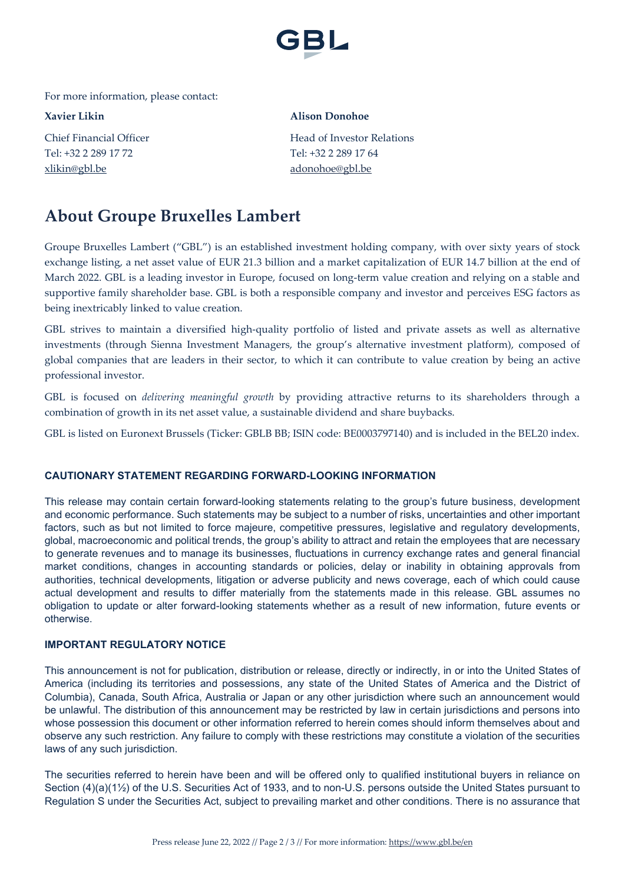

For more information, please contact:

Tel: +32 2 289 17 72 Tel: +32 2 289 17 64 [xlikin@gbl.be](mailto:xlikin@gbl.be) [adonohoe@gbl.be](mailto:adonohoe@gbl.be)

### **Xavier Likin Alison Donohoe**

Chief Financial Officer **Head of Investor Relations** 

# **About Groupe Bruxelles Lambert**

Groupe Bruxelles Lambert ("GBL") is an established investment holding company, with over sixty years of stock exchange listing, a net asset value of EUR 21.3 billion and a market capitalization of EUR 14.7 billion at the end of March 2022. GBL is a leading investor in Europe, focused on long-term value creation and relying on a stable and supportive family shareholder base. GBL is both a responsible company and investor and perceives ESG factors as being inextricably linked to value creation.

GBL strives to maintain a diversified high-quality portfolio of listed and private assets as well as alternative investments (through Sienna Investment Managers, the group's alternative investment platform), composed of global companies that are leaders in their sector, to which it can contribute to value creation by being an active professional investor.

GBL is focused on *delivering meaningful growth* by providing attractive returns to its shareholders through a combination of growth in its net asset value, a sustainable dividend and share buybacks.

GBL is listed on Euronext Brussels (Ticker: GBLB BB; ISIN code: BE0003797140) and is included in the BEL20 index.

### **CAUTIONARY STATEMENT REGARDING FORWARD-LOOKING INFORMATION**

This release may contain certain forward-looking statements relating to the group's future business, development and economic performance. Such statements may be subject to a number of risks, uncertainties and other important factors, such as but not limited to force majeure, competitive pressures, legislative and regulatory developments, global, macroeconomic and political trends, the group's ability to attract and retain the employees that are necessary to generate revenues and to manage its businesses, fluctuations in currency exchange rates and general financial market conditions, changes in accounting standards or policies, delay or inability in obtaining approvals from authorities, technical developments, litigation or adverse publicity and news coverage, each of which could cause actual development and results to differ materially from the statements made in this release. GBL assumes no obligation to update or alter forward-looking statements whether as a result of new information, future events or otherwise.

### **IMPORTANT REGULATORY NOTICE**

This announcement is not for publication, distribution or release, directly or indirectly, in or into the United States of America (including its territories and possessions, any state of the United States of America and the District of Columbia), Canada, South Africa, Australia or Japan or any other jurisdiction where such an announcement would be unlawful. The distribution of this announcement may be restricted by law in certain jurisdictions and persons into whose possession this document or other information referred to herein comes should inform themselves about and observe any such restriction. Any failure to comply with these restrictions may constitute a violation of the securities laws of any such jurisdiction.

The securities referred to herein have been and will be offered only to qualified institutional buyers in reliance on Section (4)(a)(1½) of the U.S. Securities Act of 1933, and to non-U.S. persons outside the United States pursuant to Regulation S under the Securities Act, subject to prevailing market and other conditions. There is no assurance that